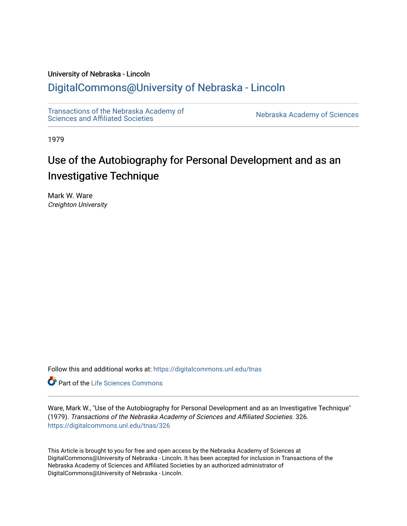# University of Nebraska - Lincoln

# [DigitalCommons@University of Nebraska - Lincoln](https://digitalcommons.unl.edu/)

[Transactions of the Nebraska Academy of](https://digitalcommons.unl.edu/tnas) 

Nebraska Academy of Sciences

1979

# Use of the Autobiography for Personal Development and as an Investigative Technique

Mark W. Ware Creighton University

Follow this and additional works at: [https://digitalcommons.unl.edu/tnas](https://digitalcommons.unl.edu/tnas?utm_source=digitalcommons.unl.edu%2Ftnas%2F326&utm_medium=PDF&utm_campaign=PDFCoverPages) 

**Part of the Life Sciences Commons** 

Ware, Mark W., "Use of the Autobiography for Personal Development and as an Investigative Technique" (1979). Transactions of the Nebraska Academy of Sciences and Affiliated Societies. 326. [https://digitalcommons.unl.edu/tnas/326](https://digitalcommons.unl.edu/tnas/326?utm_source=digitalcommons.unl.edu%2Ftnas%2F326&utm_medium=PDF&utm_campaign=PDFCoverPages) 

This Article is brought to you for free and open access by the Nebraska Academy of Sciences at DigitalCommons@University of Nebraska - Lincoln. It has been accepted for inclusion in Transactions of the Nebraska Academy of Sciences and Affiliated Societies by an authorized administrator of DigitalCommons@University of Nebraska - Lincoln.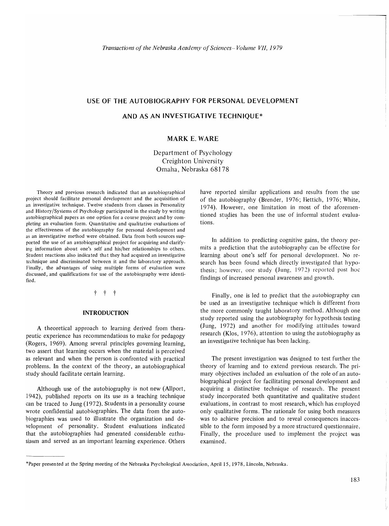# **USE OF THE AUTOBIOGRAPHY FOR PERSONAL DEVELOPMENT**

# **AND AS AN INVESTIGATIVE TECHNIQUE\***

# **MARKE. WARE**

Department of Psychology Creighton University Omaha, Nebraska 68178

Theory and previous research indicated that an autobiographical project should facilitate personal development and the acquisition of an investigative technique. Twelve students from classes in Personality and History/Systems of Psychology participated in the study by writing autobiographical papers as one option for a course project and by completing an evaluation form. Quantitative and qualitative evaluations of the effectiveness of the autobiography for personal development and as an investigative method were obtained. Data from both sources supported the use of an autobiographical project for acquiring and clarifying information about one's self and his/her relationships to others. Student reactions also indicated that they had acquired an investigative technique and discriminated between it and the laboratory approach. Finally, the advantages of using multiple forms of evaluation were discussed, and qualifications for use of the autobiography were identified.

#### t t t

#### **INTRODUCTION**

A theoretical approach to learning derived from therapeutic experience has recommendations to make for pedagogy (Rogers, 1969). Among several principles governing learning, two assert that learning occurs when the material is perceived as relevant and when the person is confronted with practical problems. In the context of the theory, an autobiographical study should facilitate certain learning.

Although use of the autobiography is not new (Allport, 1942), published reports on its use as a teaching technique can be traced to lung (1972). Students in a personality course wrote confidential autobiographies. The data from the autobiographies was used to illustrate the organization and development of personality. Student evaluations indicated that the autobiographies had generated considerable enthusiasm and served as an important learning experience. Others have reported similar applications and results from the usc of the autobiography (Brender, 1976; Hettich, 1976; White, 1974). However, one limitation in most of the aforementioned studies has been the use of informal student evaluations.

In addition to predicting cognitive gains, the theory permits a prediction that the autobiography can be effective for learning about one's self for personal development. No research has been found which directly investigated that hypothesis; however, one study (Jung, 1972) reported post hoc findings of increased personal awareness and growth.

Finally, one is led to predict that the autobiography can be used as an investigative technique which is different from the more commonly taught laboratory method. Although one study reported using the autobiography for hypothesis testing (lung, 1972) and another for modifying attitudes toward research (Klos, 1976), attention to using the autobiography as an investigative technique has been lacking.

The present investigation was designed to test further the theory of learning and to extend previous research. The primary objectives included an evaluation of the role of an autobiographical project for facilitating personal development and acquiring a distinctive technique of research. The present study incorporated both quantitative and qualitative student evaluations, in contrast to most research, which has employed only qualitative forms. The rationale for using both measures was to achieve precision and to reveal consequences inaccessible to the form imposed by a more structured questionnaire. Finally, the procedure used to implement the project was examined.

<sup>&#</sup>x27;Paper presented at the Spring meeting of the Nebraska Psychological Association, April 15, 1978, Lincoln, Nebraska.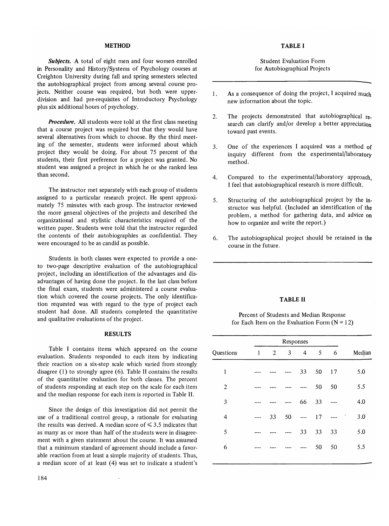#### **METHOD**

*Subjects.* A total of eight men and four women enrolled in Personality and History/Systems of Psychology courses at Creighton University during fall and spring semesters selected the autobiographical project from among several course projects. Neither course was required, but both were upperdivision and had pre-requisites of Introductory Psychology plus six additional hours of psychology.

*Procedure.* All students were told at the first class meeting that a course project was required but that they would have several alternatives from which to choose. By the third meeting of the semester, students were informed about which project they would be doing. For about 75 percent of the students, their first preference for a project was granted. No student was assigned a project in which he or she ranked less than second.

The instructor met separately with each group of students assigned to a particular research project. He spent approximately 75 minutes with each group. The instructor reviewed the more general objectives of the projects and described the organizational and stylistic characteristics required of the written paper. Students were told that the instructor regarded the contents of their autobiographies as confidential. They were encouraged to be as candid as possible.

Students in both classes were expected to provide a oneto two-page descriptive evaluation of the autobiographical project, including an identification of the advantages and disadvantages of having done the project. In the last class before the final exam, students were administered a course evaluation which covered the course projects. The only identification requested was with regard to the type of project each student had done. All students completed the quantitative and qualitative evaluations of the project.

## RESULTS

Table I contains items which appeared on the course evaluation. Students responded to each item by indicating their reaction on a six-step scale which varied from strongly disagree (1) to strongly agree (6). Table II contains the results of the quantitative evaluation for both classes. The percent of students responding at each step on the scale for each item and the median response for each item is reported in Table II.

Since the design of this investigation did not permit the use of a traditional control group, a rationale for evaluating the results was derived. A median score of  $\leq 3.5$  indicates that as many as or more than half of the students were in disagreement with a given statement about the course. It was assumed that a minimum standard of agreement should include a favorable reaction from at least a simple majority of students. Thus, a median score of at least (4) was set to indicate a student's

# TABLE I

## Student Evaluation Form for Autobiographical Projects

- 1. As a consequence of doing the project, I acquired much new information about the topic.
- 2. The projects demonstrated that autobiographical research can clarify and/or develop a better appreciation toward past events.
- 3. One of the experiences I acquired was a method of inquiry different from the experimental/laboratory method.
- 4. Compared to the experimental/laboratory approach, I feel that autobiographical research is more difficult.
- 5. Structuring of the autobiographical project by the instructor was helpful. (Included an identification of the problem, a method for gathering data, and advice on how to organize and write the report.)
- 6. The autobiographical project should be retained in the course in the future.

#### TABLE II

# Percent of Students and Median Response for Each Item on the Evaluation Form  $(N = 12)$

|                | Responses    |                |    |                          |    |    |   |        |
|----------------|--------------|----------------|----|--------------------------|----|----|---|--------|
| Questions      | $\mathbf{1}$ | $\overline{c}$ | 3  | $\overline{\mathcal{A}}$ | 5  | 6  |   | Median |
| 1              |              |                |    | 33                       | 50 | 17 |   | 5.0    |
| $\overline{2}$ |              |                |    |                          | 50 | 50 |   | 5.5    |
| 3              |              |                | .  | 66                       | 33 |    |   | 4.0    |
| $\overline{4}$ | ----         | 33             | 50 | $- - - -$                | 17 |    | Í | 3.0    |
| 5              |              |                |    | 33                       | 33 | 33 |   | 5.0    |
| 6              |              |                |    |                          | 50 | 50 |   | 5.5    |
|                |              |                |    |                          |    |    |   |        |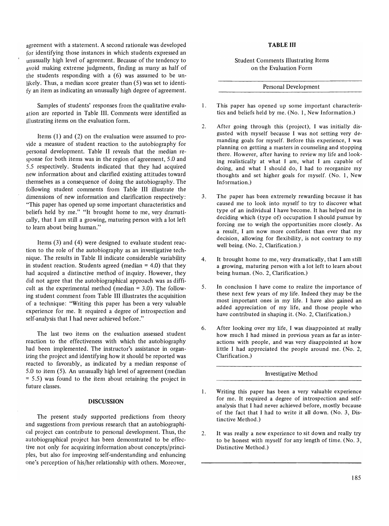agreement with a statement. A second rationale was developed for identifying those instances in which students expressed an unusually high level of agreement. Because of the tendency to avoid making extreme judgments, finding as many as half of the students responding with a (6) was assumed to be unlikely. Thus, a median score greater than  $(5)$  was set to identify an item as indicating an unusually high degree of agreement.

Samples of students' responses from the qualitative evaluation are reported in Table **III.** Comments were identified as illustrating items on the evaluation form.

Items  $(1)$  and  $(2)$  on the evaluation were assumed to provide a measure of student reaction to the autobiography for personal development. Table II reveals that the median response for both items was in the region of agreement, 5.0 and 5.5 respectively. Students indicated that they had acquired new information about and clarified existing attitudes toward themselves as a consequence of doing the autobiography. The following student comments from Table III illustrate the dimensions of new information and clarification respectively: "This paper has opened up some important characteristics and beliefs held by me." "It brought home to me, very dramatically, that I am still a growing, maturing person with a lot left to learn about being human."

Items (3) and (4) were designed to evaluate student reaction to the role of the autobiography as an investigative technique. The results in Table II indicate considerable variability in student reaction. Students agreed (median  $= 4.0$ ) that they had acquired a distinctive method of inquiry. However, they did not agree that the autobiographical approach was as difficult as the experimental method (median = 3.0). The following student comment from Table III illustrates the acquisition of a technique: "Writing this paper has been a very valuable experience for me. It required a degree of introspection and self-analysis that I had never achieved before."

The last two items on the evaluation assessed student reaction to the effectiveness with which the autobiography had been implemented. The instructor's assistance in organizing the project and identifying how it should be reported was reacted to favorably, as indicated by a median response of 5.0 to item (5). An unusually high level of agreement (median  $= 5.5$ ) was found to the item about retaining the project in future classes.

#### **DISCUSSION**

The present study supported predictions from theory and suggestions from previous research that an autobiographical project can contribute to personal development. Thus, the autobiographical project has been demonstrated to be effective not only for acquiring information about concepts/principles, but also for improving self-understanding and enhancing one's perception of his/her relationship with others. Moreover,

#### **TABLE III**

Student Comments Illustrating Items on the Evaluation Form

Personal Development

- 1. This paper has opened up some important characteristics and beliefs held by me. (No.1, New Information.)
- 2. After going through this (project), I was initially disgusted with myself because I was not setting very demanding goals for myself. Before this experience, I was planning on getting a masters in counseling and stopping there. However, after having to review my life and looking realistically at what I am, what I am capable of doing, and what I should do, I had to reorganize my thoughts and set higher goals for myself. (No.1, New Information.)
- 3. The paper has been extremely rewarding because it has caused me to look into myself to try to discover what type of an individual I have become. It has helped me in deciding which (type of) occupation I should pursue by forcing me to weigh the opportunities more closely. As a result, I am now more confident than ever that my decision, allowing for flexibility, is not contrary to my well being. (No. 2, Clarification.)
- 4. It brought home to me, very dramatically, that I am still a growing, maturing person with a lot left to learn about being human. (No.2, Clarification.)
- 5. In conclusion I have come to realize the importance of these next few years of my life. Indeed they may be the most important ones in my life. I have also gained an added appreciation of my life, and those people who have contributed in shaping it. (No. 2, Clarification.)
- 6. After looking over my life, I was disappointed at really how much I had missed in previous years as far as interactions with people, and was very disappointed at how little I had appreciated the people around me. (No.2, Clarification.)

#### Investigative Method

- 1. Writing this paper has been a very valuable experience for me. It required a degree of introspection and selfanalysis that I had never achieved before, mostly because of the fact that I had to write it all down. (No.3, Distinctive Method.)
- 2. It was really a new experience to sit down and really try to be honest with myself for any length of time. (No.3, Distinctive Method.)